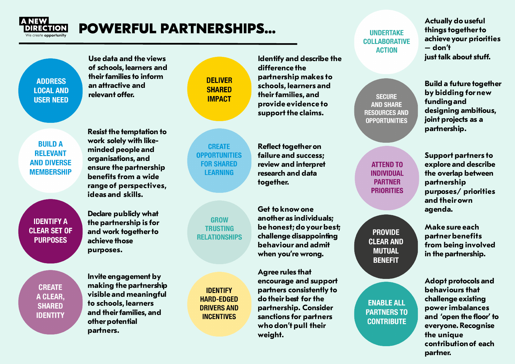

## **POWERFUL PARTNERSHIPS…**

**ADDRESS LOCAL AND USER NEED** 

**Use data and the views of schools, learners and theirfamilies to inform an attractive and relevant offer.** 

**DELIVER SHARFD IMPACT** 

**RIIII** D A **RELEVANT AND DIVERSE MEMBERSHIP**  **Resist the temptation to work solely with likeminded people and organisations, and ensure the partnership benefits from a wide range of perspectives, ideas and skills.** 

**Declare publicly what IDENTIFY A the partnership is for CLEAR SET OF and work togetherto achieve those purposes.** 

**CREATE** A CLEAR. **SHARED IDENTITY** 

**PURPOSES** 

**Invite engagement by making the partnership visible and meaningful to schools, learners and theirfamilies, and other potential partners.** 

**CREATE OPPORTUNITIES FOR SHARED LEARNING** 

**GROW TRUSTING RELATIONSHIPS** 

**IDENTIFY HARD-FDGFD DRIVERS AND INCENTIVES** 

**Identify and describe the difference the partnership makes to schools, learners and theirfamilies, and provide evidence to support the claims.** 

**Reflect together on failure and success; review and interpret research and data together.** 

**Get to know one another as individuals; be honest; do yourbest; challenge disappointing behaviour and admit when you're wrong.** 

**Agree rules that encourage and support partners consistently to do theirbest for the partnership. Consider sanctions for partners who don't pull their weight.** 

**UNDERTAKE COLLABORATIVE ACTION** 

**SECURE AND SHARE RESOURCES AND OPPORTUNITIES** 

> **ATTEND TO INDIVIDUAL PARTNER PRIORITIES**

**PROVIDE CLEAR AND MUTUAL BENEFIT** 

**ENABLE ALL PARTNERS TO CONTRIBUTE** 

**Actually do useful things togetherto achieve your priorities – don't just talk about stuff.**

**Build a future together by bidding for new fundingand designing ambitious, joint projects as a partnership.** 

**Support partners to explore and describe the overlap between partnership purposes/ priorities and their own agenda.** 

**Make sure each partnerbenefits from being involved in the partnership.** 

**Adopt protocols and behaviours that challenge existing power imbalances and 'open the floor' to everyone. Recognise the unique contributionof each partner.**